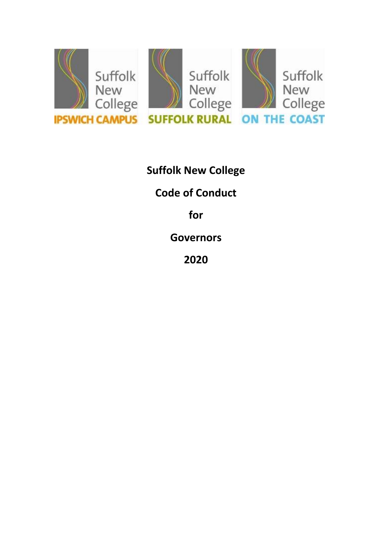

**Suffolk New College Code of Conduct for Governors 2020**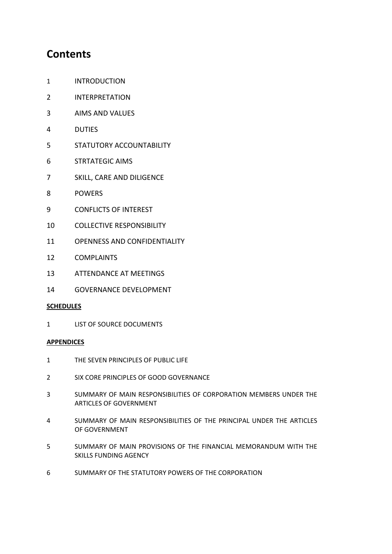# **Contents**

- INTRODUCTION
- INTERPRETATION
- AIMS AND VALUES
- DUTIES
- STATUTORY ACCOUNTABILITY
- STRTATEGIC AIMS
- SKILL, CARE AND DILIGENCE
- POWERS
- CONFLICTS OF INTEREST
- COLLECTIVE RESPONSIBILITY
- OPENNESS AND CONFIDENTIALITY
- COMPLAINTS
- ATTENDANCE AT MEETINGS
- GOVERNANCE DEVELOPMENT

## **SCHEDULES**

LIST OF SOURCE DOCUMENTS

#### **APPENDICES**

- THE SEVEN PRINCIPLES OF PUBLIC LIFE
- SIX CORE PRINCIPLES OF GOOD GOVERNANCE
- SUMMARY OF MAIN RESPONSIBILITIES OF CORPORATION MEMBERS UNDER THE ARTICLES OF GOVERNMENT
- SUMMARY OF MAIN RESPONSIBILITIES OF THE PRINCIPAL UNDER THE ARTICLES OF GOVERNMENT
- SUMMARY OF MAIN PROVISIONS OF THE FINANCIAL MEMORANDUM WITH THE SKILLS FUNDING AGENCY
- SUMMARY OF THE STATUTORY POWERS OF THE CORPORATION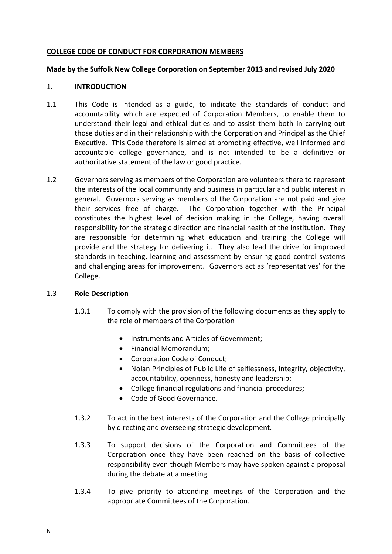## **COLLEGE CODE OF CONDUCT FOR CORPORATION MEMBERS**

#### **Made by the Suffolk New College Corporation on September 2013 and revised July 2020**

#### 1. **INTRODUCTION**

- 1.1 This Code is intended as a guide, to indicate the standards of conduct and accountability which are expected of Corporation Members, to enable them to understand their legal and ethical duties and to assist them both in carrying out those duties and in their relationship with the Corporation and Principal as the Chief Executive. This Code therefore is aimed at promoting effective, well informed and accountable college governance, and is not intended to be a definitive or authoritative statement of the law or good practice.
- 1.2 Governors serving as members of the Corporation are volunteers there to represent the interests of the local community and business in particular and public interest in general. Governors serving as members of the Corporation are not paid and give their services free of charge. The Corporation together with the Principal constitutes the highest level of decision making in the College, having overall responsibility for the strategic direction and financial health of the institution. They are responsible for determining what education and training the College will provide and the strategy for delivering it. They also lead the drive for improved standards in teaching, learning and assessment by ensuring good control systems and challenging areas for improvement. Governors act as 'representatives' for the College.

## 1.3 **Role Description**

- 1.3.1 To comply with the provision of the following documents as they apply to the role of members of the Corporation
	- Instruments and Articles of Government;
	- Financial Memorandum;
	- Corporation Code of Conduct:
	- Nolan Principles of Public Life of selflessness, integrity, objectivity, accountability, openness, honesty and leadership;
	- College financial regulations and financial procedures;
	- Code of Good Governance.
- 1.3.2 To act in the best interests of the Corporation and the College principally by directing and overseeing strategic development.
- 1.3.3 To support decisions of the Corporation and Committees of the Corporation once they have been reached on the basis of collective responsibility even though Members may have spoken against a proposal during the debate at a meeting.
- 1.3.4 To give priority to attending meetings of the Corporation and the appropriate Committees of the Corporation.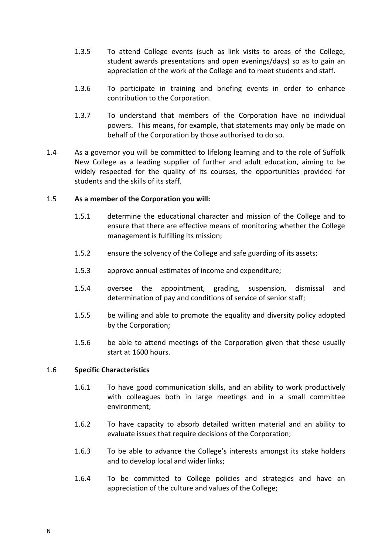- 1.3.5 To attend College events (such as link visits to areas of the College, student awards presentations and open evenings/days) so as to gain an appreciation of the work of the College and to meet students and staff.
- 1.3.6 To participate in training and briefing events in order to enhance contribution to the Corporation.
- 1.3.7 To understand that members of the Corporation have no individual powers. This means, for example, that statements may only be made on behalf of the Corporation by those authorised to do so.
- 1.4 As a governor you will be committed to lifelong learning and to the role of Suffolk New College as a leading supplier of further and adult education, aiming to be widely respected for the quality of its courses, the opportunities provided for students and the skills of its staff.

## 1.5 **As a member of the Corporation you will:**

- 1.5.1 determine the educational character and mission of the College and to ensure that there are effective means of monitoring whether the College management is fulfilling its mission;
- 1.5.2 ensure the solvency of the College and safe guarding of its assets;
- 1.5.3 approve annual estimates of income and expenditure;
- 1.5.4 oversee the appointment, grading, suspension, dismissal and determination of pay and conditions of service of senior staff;
- 1.5.5 be willing and able to promote the equality and diversity policy adopted by the Corporation;
- 1.5.6 be able to attend meetings of the Corporation given that these usually start at 1600 hours.

## 1.6 **Specific Characteristics**

- 1.6.1 To have good communication skills, and an ability to work productively with colleagues both in large meetings and in a small committee environment;
- 1.6.2 To have capacity to absorb detailed written material and an ability to evaluate issues that require decisions of the Corporation;
- 1.6.3 To be able to advance the College's interests amongst its stake holders and to develop local and wider links;
- 1.6.4 To be committed to College policies and strategies and have an appreciation of the culture and values of the College;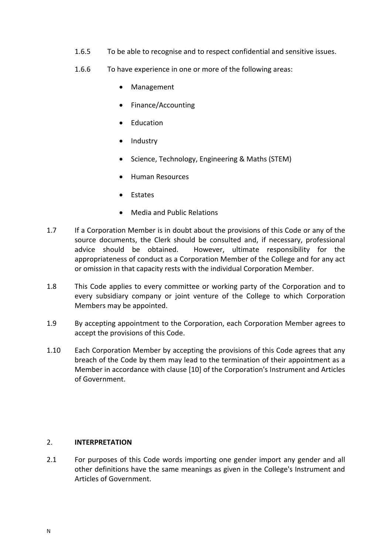- 1.6.5 To be able to recognise and to respect confidential and sensitive issues.
- 1.6.6 To have experience in one or more of the following areas:
	- Management
	- Finance/Accounting
	- Education
	- Industry
	- Science, Technology, Engineering & Maths (STEM)
	- Human Resources
	- Estates
	- Media and Public Relations
- 1.7 If a Corporation Member is in doubt about the provisions of this Code or any of the source documents, the Clerk should be consulted and, if necessary, professional advice should be obtained. However, ultimate responsibility for the appropriateness of conduct as a Corporation Member of the College and for any act or omission in that capacity rests with the individual Corporation Member.
- 1.8 This Code applies to every committee or working party of the Corporation and to every subsidiary company or joint venture of the College to which Corporation Members may be appointed.
- 1.9 By accepting appointment to the Corporation, each Corporation Member agrees to accept the provisions of this Code.
- 1.10 Each Corporation Member by accepting the provisions of this Code agrees that any breach of the Code by them may lead to the termination of their appointment as a Member in accordance with clause [10] of the Corporation's Instrument and Articles of Government.

## 2. **INTERPRETATION**

2.1 For purposes of this Code words importing one gender import any gender and all other definitions have the same meanings as given in the College's Instrument and Articles of Government.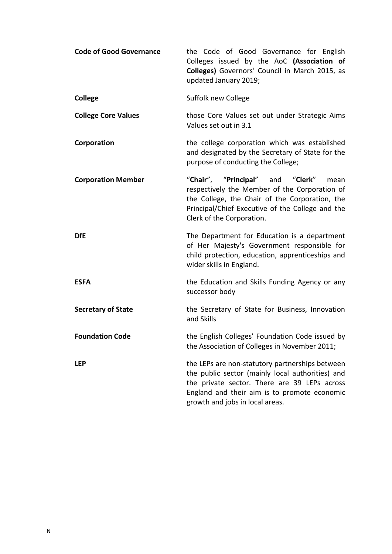| <b>Code of Good Governance</b> | the Code of Good Governance for English<br>Colleges issued by the AoC (Association of<br>Colleges) Governors' Council in March 2015, as<br>updated January 2019;                                                                       |
|--------------------------------|----------------------------------------------------------------------------------------------------------------------------------------------------------------------------------------------------------------------------------------|
| <b>College</b>                 | Suffolk new College                                                                                                                                                                                                                    |
| <b>College Core Values</b>     | those Core Values set out under Strategic Aims<br>Values set out in 3.1                                                                                                                                                                |
| Corporation                    | the college corporation which was established<br>and designated by the Secretary of State for the<br>purpose of conducting the College;                                                                                                |
| <b>Corporation Member</b>      | "Chair", "Principal" and "Clerk"<br>mean<br>respectively the Member of the Corporation of<br>the College, the Chair of the Corporation, the<br>Principal/Chief Executive of the College and the<br>Clerk of the Corporation.           |
| <b>DfE</b>                     | The Department for Education is a department<br>of Her Majesty's Government responsible for<br>child protection, education, apprenticeships and<br>wider skills in England.                                                            |
| <b>ESFA</b>                    | the Education and Skills Funding Agency or any<br>successor body                                                                                                                                                                       |
| <b>Secretary of State</b>      | the Secretary of State for Business, Innovation<br>and Skills                                                                                                                                                                          |
| <b>Foundation Code</b>         | the English Colleges' Foundation Code issued by<br>the Association of Colleges in November 2011;                                                                                                                                       |
| <b>LEP</b>                     | the LEPs are non-statutory partnerships between<br>the public sector (mainly local authorities) and<br>the private sector. There are 39 LEPs across<br>England and their aim is to promote economic<br>growth and jobs in local areas. |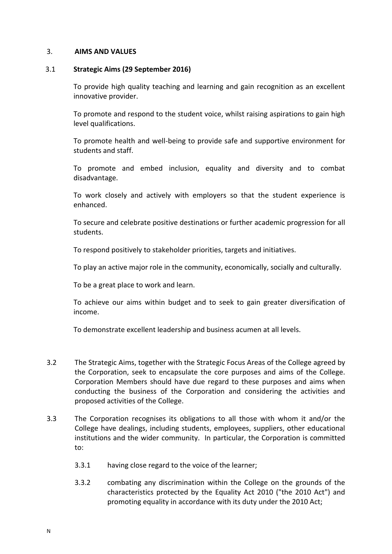#### 3. **AIMS AND VALUES**

#### 3.1 **Strategic Aims (29 September 2016)**

To provide high quality teaching and learning and gain recognition as an excellent innovative provider.

To promote and respond to the student voice, whilst raising aspirations to gain high level qualifications.

To promote health and well-being to provide safe and supportive environment for students and staff.

To promote and embed inclusion, equality and diversity and to combat disadvantage.

To work closely and actively with employers so that the student experience is enhanced.

To secure and celebrate positive destinations or further academic progression for all students.

To respond positively to stakeholder priorities, targets and initiatives.

To play an active major role in the community, economically, socially and culturally.

To be a great place to work and learn.

To achieve our aims within budget and to seek to gain greater diversification of income.

To demonstrate excellent leadership and business acumen at all levels.

- 3.2 The Strategic Aims, together with the Strategic Focus Areas of the College agreed by the Corporation, seek to encapsulate the core purposes and aims of the College. Corporation Members should have due regard to these purposes and aims when conducting the business of the Corporation and considering the activities and proposed activities of the College.
- 3.3 The Corporation recognises its obligations to all those with whom it and/or the College have dealings, including students, employees, suppliers, other educational institutions and the wider community. In particular, the Corporation is committed to:
	- 3.3.1 having close regard to the voice of the learner;
	- 3.3.2 combating any discrimination within the College on the grounds of the characteristics protected by the Equality Act 2010 ("the 2010 Act") and promoting equality in accordance with its duty under the 2010 Act;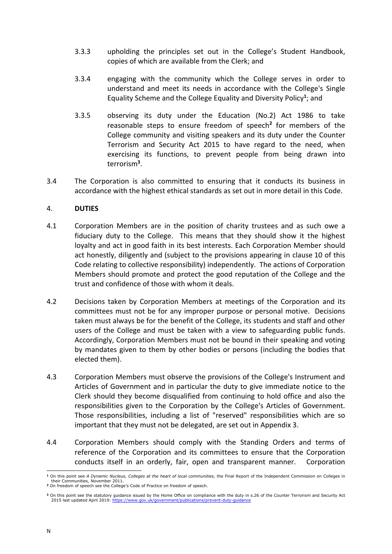- 3.3.3 upholding the principles set out in the College's Student Handbook, copies of which are available from the Clerk; and
- 3.3.4 engaging with the community which the College serves in order to understand and meet its needs in accordance with the College's Single Equality Scheme and the College Equality and Diversity Policy**<sup>1</sup>** ; and
- 3.3.5 observing its duty under the Education (No.2) Act 1986 to take reasonable steps to ensure freedom of speech**<sup>2</sup>** for members of the College community and visiting speakers and its duty under the Counter Terrorism and Security Act 2015 to have regard to the need, when exercising its functions, to prevent people from being drawn into terrorism**<sup>3</sup>** .
- 3.4 The Corporation is also committed to ensuring that it conducts its business in accordance with the highest ethical standards as set out in more detail in this Code.

## 4. **DUTIES**

- 4.1 Corporation Members are in the position of charity trustees and as such owe a fiduciary duty to the College. This means that they should show it the highest loyalty and act in good faith in its best interests. Each Corporation Member should act honestly, diligently and (subject to the provisions appearing in clause [10](#page-15-0) of this Code relating to collective responsibility) independently. The actions of Corporation Members should promote and protect the good reputation of the College and the trust and confidence of those with whom it deals.
- 4.2 Decisions taken by Corporation Members at meetings of the Corporation and its committees must not be for any improper purpose or personal motive. Decisions taken must always be for the benefit of the College, its students and staff and other users of the College and must be taken with a view to safeguarding public funds. Accordingly, Corporation Members must not be bound in their speaking and voting by mandates given to them by other bodies or persons (including the bodies that elected them).
- 4.3 Corporation Members must observe the provisions of the College's Instrument and Articles of Government and in particular the duty to give immediate notice to the Clerk should they become disqualified from continuing to hold office and also the responsibilities given to the Corporation by the College's Articles of Government. Those responsibilities, including a list of "reserved" responsibilities which are so important that they must not be delegated, are set out in Appendix [3.](#page-20-0)
- 4.4 Corporation Members should comply with the Standing Orders and terms of reference of the Corporation and its committees to ensure that the Corporation conducts itself in an orderly, fair, open and transparent manner. Corporation

<sup>-</sup>**<sup>1</sup>** On this point see *A Dynamic Nucleus, Colleges at the heart of local communities*, the Final Report of the Independent Commission on Colleges in their Communities, November 2011.

**<sup>2</sup>** On freedom of speech see the College's Code of Practice on freedom of speech.

**<sup>3</sup>** On this point see the statutory guidance issued by the Home Office on compliance with the duty in s.26 of the Counter Terrorism and Security Act 2015 last updated April 2019:<https://www.gov.uk/government/publications/prevent-duty-guidance>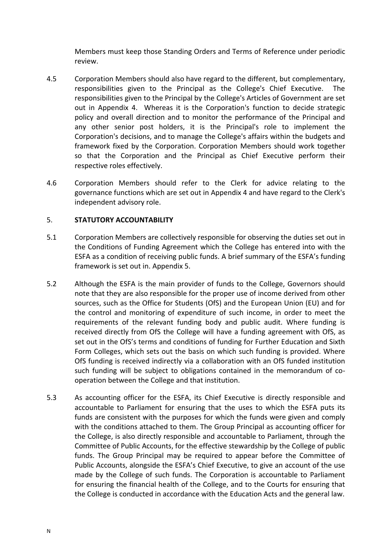Members must keep those Standing Orders and Terms of Reference under periodic review.

- 4.5 Corporation Members should also have regard to the different, but complementary, responsibilities given to the Principal as the College's Chief Executive. The responsibilities given to the Principal by the College's Articles of Government are set out in Appendix 4. Whereas it is the Corporation's function to decide strategic policy and overall direction and to monitor the performance of the Principal and any other senior post holders, it is the Principal's role to implement the Corporation's decisions, and to manage the College's affairs within the budgets and framework fixed by the Corporation. Corporation Members should work together so that the Corporation and the Principal as Chief Executive perform their respective roles effectively.
- 4.6 Corporation Members should refer to the Clerk for advice relating to the governance functions which are set out in Appendix 4 and have regard to the Clerk's independent advisory role.

## 5. **STATUTORY ACCOUNTABILITY**

- 5.1 Corporation Members are collectively responsible for observing the duties set out in the Conditions of Funding Agreement which the College has entered into with the ESFA as a condition of receiving public funds. A brief summary of the ESFA's funding framework is set out in. Appendix [5.](#page-23-0)
- 5.2 Although the ESFA is the main provider of funds to the College, Governors should note that they are also responsible for the proper use of income derived from other sources, such as the Office for Students (OfS) and the European Union (EU) and for the control and monitoring of expenditure of such income, in order to meet the requirements of the relevant funding body and public audit. Where funding is received directly from OfS the College will have a funding agreement with OfS, as set out in the OfS's terms and conditions of funding for Further Education and Sixth Form Colleges, which sets out the basis on which such funding is provided. Where OfS funding is received indirectly via a collaboration with an OfS funded institution such funding will be subject to obligations contained in the memorandum of cooperation between the College and that institution.
- 5.3 As accounting officer for the ESFA, its Chief Executive is directly responsible and accountable to Parliament for ensuring that the uses to which the ESFA puts its funds are consistent with the purposes for which the funds were given and comply with the conditions attached to them. The Group Principal as accounting officer for the College, is also directly responsible and accountable to Parliament, through the Committee of Public Accounts, for the effective stewardship by the College of public funds. The Group Principal may be required to appear before the Committee of Public Accounts, alongside the ESFA's Chief Executive, to give an account of the use made by the College of such funds. The Corporation is accountable to Parliament for ensuring the financial health of the College, and to the Courts for ensuring that the College is conducted in accordance with the Education Acts and the general law.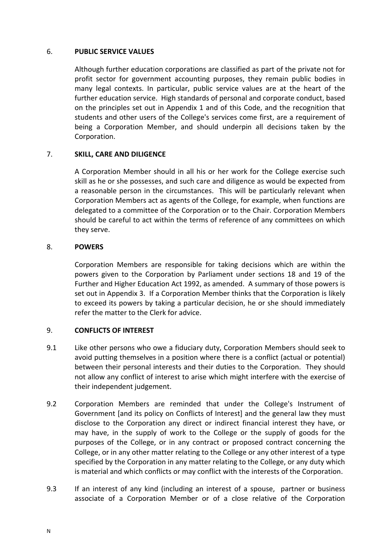## 6. **PUBLIC SERVICE VALUES**

Although further education corporations are classified as part of the private not for profit sector for government accounting purposes, they remain public bodies in many legal contexts. In particular, public service values are at the heart of the further education service. High standards of personal and corporate conduct, based on the principles set out in Appendix [1](#page-16-0) and of this Code, and the recognition that students and other users of the College's services come first, are a requirement of being a Corporation Member, and should underpin all decisions taken by the Corporation.

## 7. **SKILL, CARE AND DILIGENCE**

A Corporation Member should in all his or her work for the College exercise such skill as he or she possesses, and such care and diligence as would be expected from a reasonable person in the circumstances. This will be particularly relevant when Corporation Members act as agents of the College, for example, when functions are delegated to a committee of the Corporation or to the Chair. Corporation Members should be careful to act within the terms of reference of any committees on which they serve.

## 8. **POWERS**

Corporation Members are responsible for taking decisions which are within the powers given to the Corporation by Parliament under sections 18 and 19 of the Further and Higher Education Act 1992, as amended. A summary of those powers is set out in Appendix 3. If a Corporation Member thinks that the Corporation is likely to exceed its powers by taking a particular decision, he or she should immediately refer the matter to the Clerk for advice.

## 9. **CONFLICTS OF INTEREST**

- 9.1 Like other persons who owe a fiduciary duty, Corporation Members should seek to avoid putting themselves in a position where there is a conflict (actual or potential) between their personal interests and their duties to the Corporation. They should not allow any conflict of interest to arise which might interfere with the exercise of their independent judgement.
- 9.2 Corporation Members are reminded that under the College's Instrument of Government [and its policy on Conflicts of Interest] and the general law they must disclose to the Corporation any direct or indirect financial interest they have, or may have, in the supply of work to the College or the supply of goods for the purposes of the College, or in any contract or proposed contract concerning the College, or in any other matter relating to the College or any other interest of a type specified by the Corporation in any matter relating to the College, or any duty which is material and which conflicts or may conflict with the interests of the Corporation.
- <span id="page-9-0"></span>9.3 If an interest of any kind (including an interest of a spouse, partner or business associate of a Corporation Member or of a close relative of the Corporation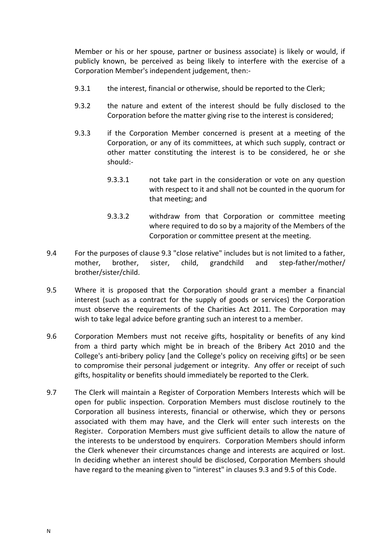Member or his or her spouse, partner or business associate) is likely or would, if publicly known, be perceived as being likely to interfere with the exercise of a Corporation Member's independent judgement, then:-

- 9.3.1 the interest, financial or otherwise, should be reported to the Clerk;
- 9.3.2 the nature and extent of the interest should be fully disclosed to the Corporation before the matter giving rise to the interest is considered;
- 9.3.3 if the Corporation Member concerned is present at a meeting of the Corporation, or any of its committees, at which such supply, contract or other matter constituting the interest is to be considered, he or she should:-
	- 9.3.3.1 not take part in the consideration or vote on any question with respect to it and shall not be counted in the quorum for that meeting; and
	- 9.3.3.2 withdraw from that Corporation or committee meeting where required to do so by a majority of the Members of the Corporation or committee present at the meeting.
- 9.4 For the purposes of clause [9.3](#page-9-0) "close relative" includes but is not limited to a father, mother, brother, sister, child, grandchild and step-father/mother/ brother/sister/child.
- <span id="page-10-0"></span>9.5 Where it is proposed that the Corporation should grant a member a financial interest (such as a contract for the supply of goods or services) the Corporation must observe the requirements of the Charities Act 2011. The Corporation may wish to take legal advice before granting such an interest to a member.
- 9.6 Corporation Members must not receive gifts, hospitality or benefits of any kind from a third party which might be in breach of the Bribery Act 2010 and the College's anti-bribery policy [and the College's policy on receiving gifts] or be seen to compromise their personal judgement or integrity. Any offer or receipt of such gifts, hospitality or benefits should immediately be reported to the Clerk.
- 9.7 The Clerk will maintain a Register of Corporation Members Interests which will be open for public inspection. Corporation Members must disclose routinely to the Corporation all business interests, financial or otherwise, which they or persons associated with them may have, and the Clerk will enter such interests on the Register. Corporation Members must give sufficient details to allow the nature of the interests to be understood by enquirers. Corporation Members should inform the Clerk whenever their circumstances change and interests are acquired or lost. In deciding whether an interest should be disclosed, Corporation Members should have regard to the meaning given to "interest" in clauses [9.3](#page-9-0) and [9.5](#page-10-0) of this Code.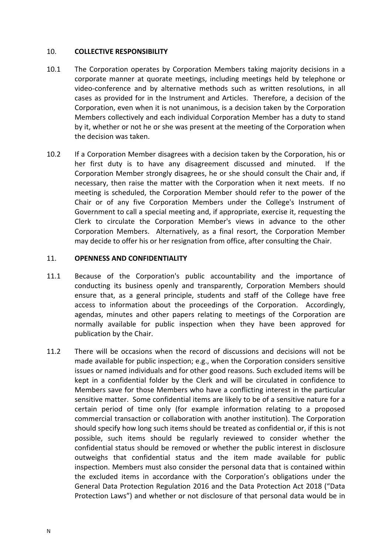#### 10. **COLLECTIVE RESPONSIBILITY**

- 10.1 The Corporation operates by Corporation Members taking majority decisions in a corporate manner at quorate meetings, including meetings held by telephone or video-conference and by alternative methods such as written resolutions, in all cases as provided for in the Instrument and Articles. Therefore, a decision of the Corporation, even when it is not unanimous, is a decision taken by the Corporation Members collectively and each individual Corporation Member has a duty to stand by it, whether or not he or she was present at the meeting of the Corporation when the decision was taken.
- 10.2 If a Corporation Member disagrees with a decision taken by the Corporation, his or her first duty is to have any disagreement discussed and minuted. If the Corporation Member strongly disagrees, he or she should consult the Chair and, if necessary, then raise the matter with the Corporation when it next meets. If no meeting is scheduled, the Corporation Member should refer to the power of the Chair or of any five Corporation Members under the College's Instrument of Government to call a special meeting and, if appropriate, exercise it, requesting the Clerk to circulate the Corporation Member's views in advance to the other Corporation Members. Alternatively, as a final resort, the Corporation Member may decide to offer his or her resignation from office, after consulting the Chair.

#### 11. **OPENNESS AND CONFIDENTIALITY**

- 11.1 Because of the Corporation's public accountability and the importance of conducting its business openly and transparently, Corporation Members should ensure that, as a general principle, students and staff of the College have free access to information about the proceedings of the Corporation. Accordingly, agendas, minutes and other papers relating to meetings of the Corporation are normally available for public inspection when they have been approved for publication by the Chair.
- 11.2 There will be occasions when the record of discussions and decisions will not be made available for public inspection; e.g., when the Corporation considers sensitive issues or named individuals and for other good reasons. Such excluded items will be kept in a confidential folder by the Clerk and will be circulated in confidence to Members save for those Members who have a conflicting interest in the particular sensitive matter. Some confidential items are likely to be of a sensitive nature for a certain period of time only (for example information relating to a proposed commercial transaction or collaboration with another institution). The Corporation should specify how long such items should be treated as confidential or, if this is not possible, such items should be regularly reviewed to consider whether the confidential status should be removed or whether the public interest in disclosure outweighs that confidential status and the item made available for public inspection. Members must also consider the personal data that is contained within the excluded items in accordance with the Corporation's obligations under the General Data Protection Regulation 2016 and the Data Protection Act 2018 ("Data Protection Laws") and whether or not disclosure of that personal data would be in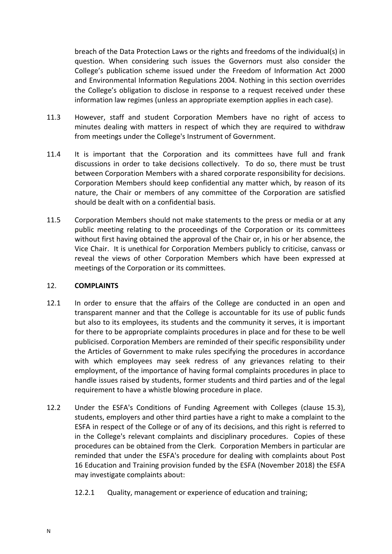breach of the Data Protection Laws or the rights and freedoms of the individual(s) in question. When considering such issues the Governors must also consider the College's publication scheme issued under the Freedom of Information Act 2000 and Environmental Information Regulations 2004. Nothing in this section overrides the College's obligation to disclose in response to a request received under these information law regimes (unless an appropriate exemption applies in each case).

- 11.3 However, staff and student Corporation Members have no right of access to minutes dealing with matters in respect of which they are required to withdraw from meetings under the College's Instrument of Government.
- 11.4 It is important that the Corporation and its committees have full and frank discussions in order to take decisions collectively. To do so, there must be trust between Corporation Members with a shared corporate responsibility for decisions. Corporation Members should keep confidential any matter which, by reason of its nature, the Chair or members of any committee of the Corporation are satisfied should be dealt with on a confidential basis.
- 11.5 Corporation Members should not make statements to the press or media or at any public meeting relating to the proceedings of the Corporation or its committees without first having obtained the approval of the Chair or, in his or her absence, the Vice Chair. It is unethical for Corporation Members publicly to criticise, canvass or reveal the views of other Corporation Members which have been expressed at meetings of the Corporation or its committees.

## 12. **COMPLAINTS**

- 12.1 In order to ensure that the affairs of the College are conducted in an open and transparent manner and that the College is accountable for its use of public funds but also to its employees, its students and the community it serves, it is important for there to be appropriate complaints procedures in place and for these to be well publicised. Corporation Members are reminded of their specific responsibility under the Articles of Government to make rules specifying the procedures in accordance with which employees may seek redress of any grievances relating to their employment, of the importance of having formal complaints procedures in place to handle issues raised by students, former students and third parties and of the legal requirement to have a whistle blowing procedure in place.
- 12.2 Under the ESFA's Conditions of Funding Agreement with Colleges (clause 15.3), students, employers and other third parties have a right to make a complaint to the ESFA in respect of the College or of any of its decisions, and this right is referred to in the College's relevant complaints and disciplinary procedures. Copies of these procedures can be obtained from the Clerk. Corporation Members in particular are reminded that under the ESFA's procedure for dealing with complaints about Post 16 Education and Training provision funded by the ESFA (November 2018) the ESFA may investigate complaints about:
	- 12.2.1 Quality, management or experience of education and training;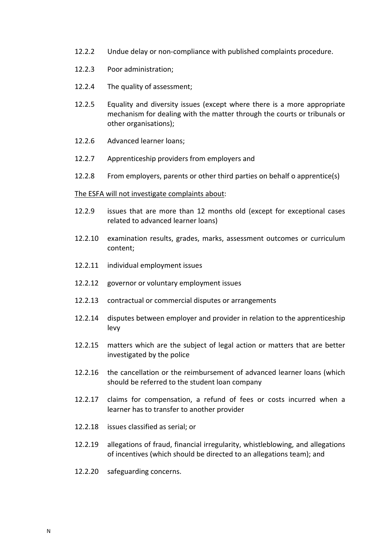- 12.2.2 Undue delay or non-compliance with published complaints procedure.
- 12.2.3 Poor administration;
- 12.2.4 The quality of assessment;
- 12.2.5 Equality and diversity issues (except where there is a more appropriate mechanism for dealing with the matter through the courts or tribunals or other organisations);
- 12.2.6 Advanced learner loans;
- 12.2.7 Apprenticeship providers from employers and
- 12.2.8 From employers, parents or other third parties on behalf o apprentice(s)

#### The ESFA will not investigate complaints about:

- 12.2.9 issues that are more than 12 months old (except for exceptional cases related to advanced learner loans)
- 12.2.10 examination results, grades, marks, assessment outcomes or curriculum content;
- 12.2.11 individual employment issues
- 12.2.12 governor or voluntary employment issues
- 12.2.13 contractual or commercial disputes or arrangements
- 12.2.14 disputes between employer and provider in relation to the apprenticeship levy
- 12.2.15 matters which are the subject of legal action or matters that are better investigated by the police
- 12.2.16 the cancellation or the reimbursement of advanced learner loans (which should be referred to the student loan company
- 12.2.17 claims for compensation, a refund of fees or costs incurred when a learner has to transfer to another provider
- 12.2.18 issues classified as serial; or
- 12.2.19 allegations of fraud, financial irregularity, whistleblowing, and allegations of incentives (which should be directed to an allegations team); and
- 12.2.20 safeguarding concerns.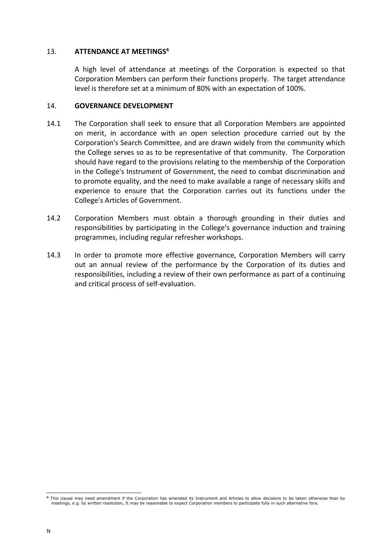#### 13. **ATTENDANCE AT MEETINGS<sup>4</sup>**

A high level of attendance at meetings of the Corporation is expected so that Corporation Members can perform their functions properly. The target attendance level is therefore set at a minimum of 80% with an expectation of 100%.

#### 14. **GOVERNANCE DEVELOPMENT**

- 14.1 The Corporation shall seek to ensure that all Corporation Members are appointed on merit, in accordance with an open selection procedure carried out by the Corporation's Search Committee, and are drawn widely from the community which the College serves so as to be representative of that community. The Corporation should have regard to the provisions relating to the membership of the Corporation in the College's Instrument of Government, the need to combat discrimination and to promote equality, and the need to make available a range of necessary skills and experience to ensure that the Corporation carries out its functions under the College's Articles of Government.
- 14.2 Corporation Members must obtain a thorough grounding in their duties and responsibilities by participating in the College's governance induction and training programmes, including regular refresher workshops.
- 14.3 In order to promote more effective governance, Corporation Members will carry out an annual review of the performance by the Corporation of its duties and responsibilities, including a review of their own performance as part of a continuing and critical process of self-evaluation.

<sup>-</sup>**<sup>4</sup>** This clause may need amendment if the Corporation has amended its Instrument and Articles to allow decisions to be taken otherwise than by meetings, e.g. by written resolution, It may be reasonable to expect Corporation members to participate fully in such alternative fora.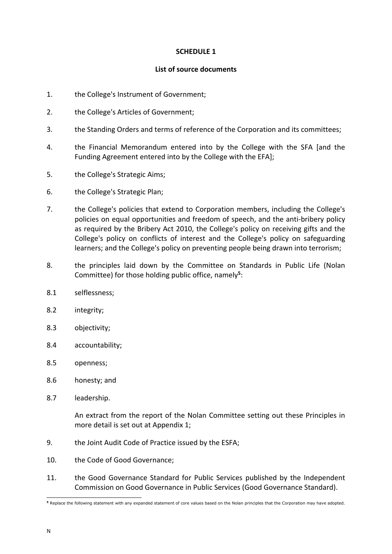## **SCHEDULE 1**

## **List of source documents**

- 1. the College's Instrument of Government;
- 2. the College's Articles of Government;
- 3. the Standing Orders and terms of reference of the Corporation and its committees;
- 4. the Financial Memorandum entered into by the College with the SFA [and the Funding Agreement entered into by the College with the EFA];
- 5. the College's Strategic Aims;
- 6. the College's Strategic Plan;
- 7. the College's policies that extend to Corporation members, including the College's policies on equal opportunities and freedom of speech, and the anti-bribery policy as required by the Bribery Act 2010, the College's policy on receiving gifts and the College's policy on conflicts of interest and the College's policy on safeguarding learners; and the College's policy on preventing people being drawn into terrorism;
- 8. the principles laid down by the Committee on Standards in Public Life (Nolan Committee) for those holding public office, namely**<sup>5</sup>** :
- 8.1 selflessness;
- 8.2 integrity;
- 8.3 objectivity;
- 8.4 accountability;
- 8.5 openness;
- 8.6 honesty; and
- 8.7 leadership.

An extract from the report of the Nolan Committee setting out these Principles in more detail is set out at Appendi[x 1;](#page-16-0)

- 9. the Joint Audit Code of Practice issued by the ESFA;
- <span id="page-15-0"></span>10. the Code of Good Governance;
- 11. the Good Governance Standard for Public Services published by the Independent Commission on Good Governance in Public Services (Good Governance Standard).

<sup>-</sup>**<sup>5</sup>** Replace the following statement with any expanded statement of core values based on the Nolan principles that the Corporation may have adopted.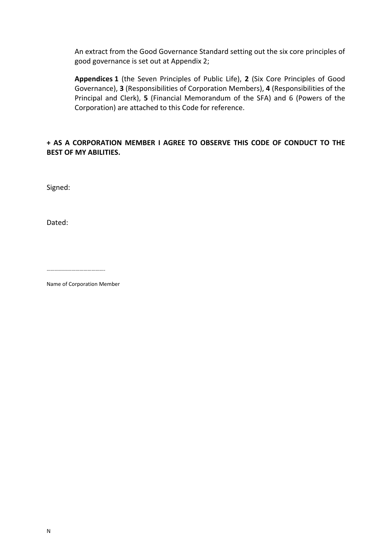An extract from the Good Governance Standard setting out the six core principles of good governance is set out at Appendix [2;](#page-18-0)

**Appendices [1](#page-16-0)** (the Seven Principles of Public Life), **[2](#page-18-0)** (Six Core Principles of Good Governance), **[3](#page-20-0)** (Responsibilities of Corporation Members), **[4](#page-22-0)** (Responsibilities of the Principal and Clerk), **[5](#page-23-0)** (Financial Memorandum of the SFA) and [6](#page-24-0) (Powers of the Corporation) are attached to this Code for reference.

# **+ AS A CORPORATION MEMBER I AGREE TO OBSERVE THIS CODE OF CONDUCT TO THE BEST OF MY ABILITIES.**

Signed:

Dated:

…………………………………….

<span id="page-16-0"></span>Name of Corporation Member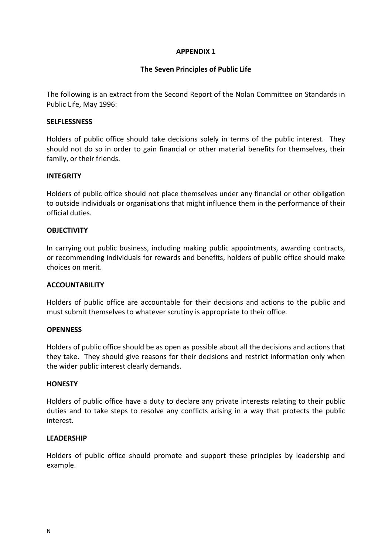## **The Seven Principles of Public Life**

The following is an extract from the Second Report of the Nolan Committee on Standards in Public Life, May 1996:

#### **SELFLESSNESS**

Holders of public office should take decisions solely in terms of the public interest. They should not do so in order to gain financial or other material benefits for themselves, their family, or their friends.

#### **INTEGRITY**

Holders of public office should not place themselves under any financial or other obligation to outside individuals or organisations that might influence them in the performance of their official duties.

## **OBJECTIVITY**

In carrying out public business, including making public appointments, awarding contracts, or recommending individuals for rewards and benefits, holders of public office should make choices on merit.

## **ACCOUNTABILITY**

Holders of public office are accountable for their decisions and actions to the public and must submit themselves to whatever scrutiny is appropriate to their office.

#### **OPENNESS**

Holders of public office should be as open as possible about all the decisions and actions that they take. They should give reasons for their decisions and restrict information only when the wider public interest clearly demands.

#### **HONESTY**

Holders of public office have a duty to declare any private interests relating to their public duties and to take steps to resolve any conflicts arising in a way that protects the public interest.

#### **LEADERSHIP**

Holders of public office should promote and support these principles by leadership and example.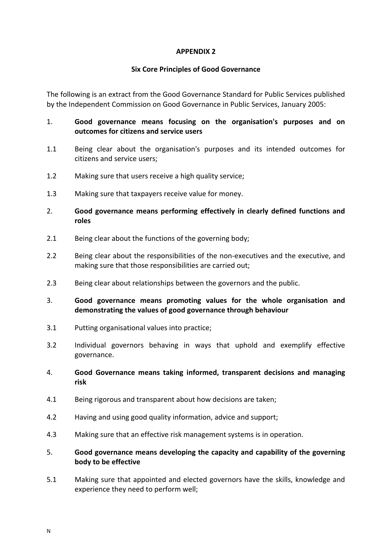## **Six Core Principles of Good Governance**

<span id="page-18-0"></span>The following is an extract from the Good Governance Standard for Public Services published by the Independent Commission on Good Governance in Public Services, January 2005:

- 1. **Good governance means focusing on the organisation's purposes and on outcomes for citizens and service users**
- 1.1 Being clear about the organisation's purposes and its intended outcomes for citizens and service users;
- 1.2 Making sure that users receive a high quality service;
- 1.3 Making sure that taxpayers receive value for money.
- 2. **Good governance means performing effectively in clearly defined functions and roles**
- 2.1 Being clear about the functions of the governing body;
- 2.2 Being clear about the responsibilities of the non-executives and the executive, and making sure that those responsibilities are carried out;
- 2.3 Being clear about relationships between the governors and the public.
- 3. **Good governance means promoting values for the whole organisation and demonstrating the values of good governance through behaviour**
- 3.1 Putting organisational values into practice;
- 3.2 Individual governors behaving in ways that uphold and exemplify effective governance.
- 4. **Good Governance means taking informed, transparent decisions and managing risk**
- 4.1 Being rigorous and transparent about how decisions are taken;
- 4.2 Having and using good quality information, advice and support;
- 4.3 Making sure that an effective risk management systems is in operation.
- 5. **Good governance means developing the capacity and capability of the governing body to be effective**
- 5.1 Making sure that appointed and elected governors have the skills, knowledge and experience they need to perform well;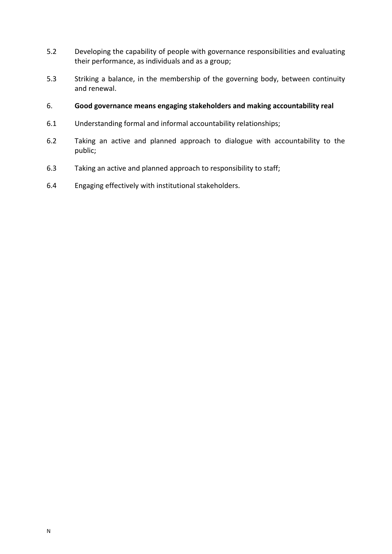- 5.2 Developing the capability of people with governance responsibilities and evaluating their performance, as individuals and as a group;
- 5.3 Striking a balance, in the membership of the governing body, between continuity and renewal.
- 6. **Good governance means engaging stakeholders and making accountability real**
- 6.1 Understanding formal and informal accountability relationships;
- 6.2 Taking an active and planned approach to dialogue with accountability to the public;
- 6.3 Taking an active and planned approach to responsibility to staff;
- 6.4 Engaging effectively with institutional stakeholders.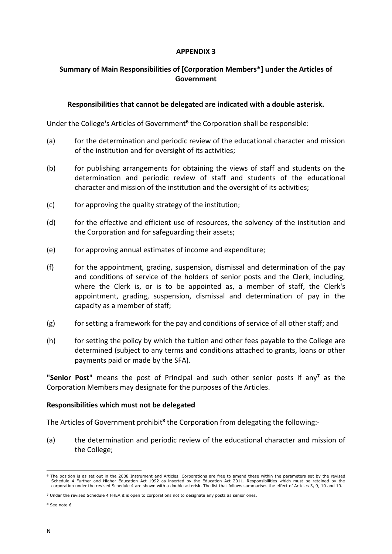# <span id="page-20-0"></span>**Summary of Main Responsibilities of [Corporation Members\*] under the Articles of Government**

## **Responsibilities that cannot be delegated are indicated with a double asterisk.**

Under the College's Articles of Government**<sup>6</sup>** the Corporation shall be responsible:

- (a) for the determination and periodic review of the educational character and mission of the institution and for oversight of its activities;
- (b) for publishing arrangements for obtaining the views of staff and students on the determination and periodic review of staff and students of the educational character and mission of the institution and the oversight of its activities;
- (c) for approving the quality strategy of the institution;
- (d) for the effective and efficient use of resources, the solvency of the institution and the Corporation and for safeguarding their assets;
- (e) for approving annual estimates of income and expenditure;
- (f) for the appointment, grading, suspension, dismissal and determination of the pay and conditions of service of the holders of senior posts and the Clerk, including, where the Clerk is, or is to be appointed as, a member of staff, the Clerk's appointment, grading, suspension, dismissal and determination of pay in the capacity as a member of staff;
- (g) for setting a framework for the pay and conditions of service of all other staff; and
- (h) for setting the policy by which the tuition and other fees payable to the College are determined (subject to any terms and conditions attached to grants, loans or other payments paid or made by the SFA).

**"Senior Post"** means the post of Principal and such other senior posts if any**<sup>7</sup>** as the Corporation Members may designate for the purposes of the Articles.

## **Responsibilities which must not be delegated**

The Articles of Government prohibit<sup>8</sup> the Corporation from delegating the following:-

(a) the determination and periodic review of the educational character and mission of the College;

<sup>-</sup>**<sup>6</sup>** The position is as set out in the 2008 Instrument and Articles. Corporations are free to amend these within the parameters set by the revised Schedule 4 Further and Higher Education Act 1992 as inserted by the Education Act 2011. Responsibilities which must be retained by the<br>corporation under the revised Schedule 4 are shown with a double asterisk. The list tha

**<sup>7</sup>** Under the revised Schedule 4 FHEA it is open to corporations not to designate any posts as senior ones.

**<sup>8</sup>** See note 6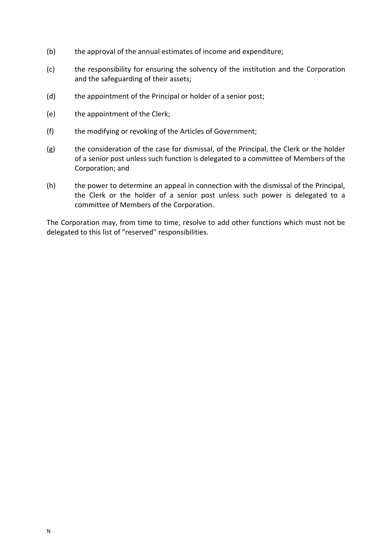- (b) the approval of the annual estimates of income and expenditure;
- (c) the responsibility for ensuring the solvency of the institution and the Corporation and the safeguarding of their assets;
- (d) the appointment of the Principal or holder of a senior post;
- (e) the appointment of the Clerk;
- (f) the modifying or revoking of the Articles of Government;
- (g) the consideration of the case for dismissal, of the Principal, the Clerk or the holder of a senior post unless such function is delegated to a committee of Members of the Corporation; and
- (h) the power to determine an appeal in connection with the dismissal of the Principal, the Clerk or the holder of a senior post unless such power is delegated to a committee of Members of the Corporation.

The Corporation may, from time to time, resolve to add other functions which must not be delegated to this list of "reserved" responsibilities.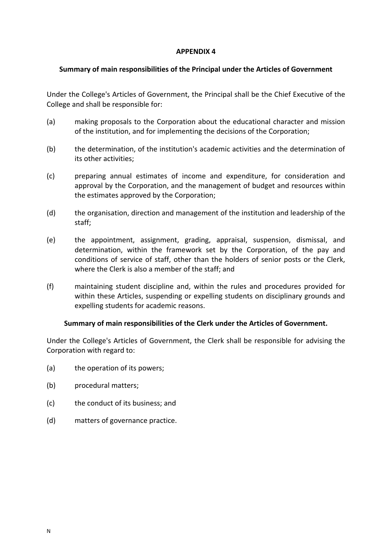## <span id="page-22-0"></span>**Summary of main responsibilities of the Principal under the Articles of Government**

Under the College's Articles of Government, the Principal shall be the Chief Executive of the College and shall be responsible for:

- (a) making proposals to the Corporation about the educational character and mission of the institution, and for implementing the decisions of the Corporation;
- (b) the determination, of the institution's academic activities and the determination of its other activities;
- (c) preparing annual estimates of income and expenditure, for consideration and approval by the Corporation, and the management of budget and resources within the estimates approved by the Corporation;
- (d) the organisation, direction and management of the institution and leadership of the staff;
- (e) the appointment, assignment, grading, appraisal, suspension, dismissal, and determination, within the framework set by the Corporation, of the pay and conditions of service of staff, other than the holders of senior posts or the Clerk, where the Clerk is also a member of the staff; and
- (f) maintaining student discipline and, within the rules and procedures provided for within these Articles, suspending or expelling students on disciplinary grounds and expelling students for academic reasons.

## **Summary of main responsibilities of the Clerk under the Articles of Government.**

Under the College's Articles of Government, the Clerk shall be responsible for advising the Corporation with regard to:

- (a) the operation of its powers;
- (b) procedural matters:
- (c) the conduct of its business; and
- (d) matters of governance practice.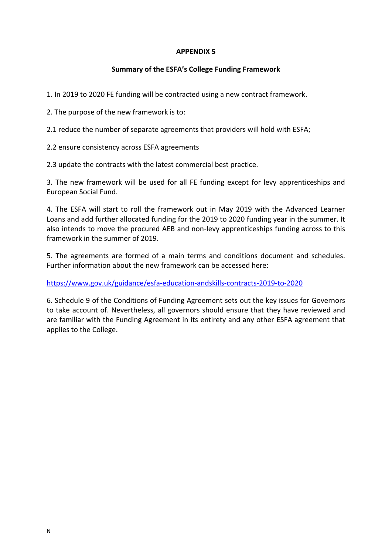## **Summary of the ESFA's College Funding Framework**

<span id="page-23-0"></span>1. In 2019 to 2020 FE funding will be contracted using a new contract framework.

2. The purpose of the new framework is to:

2.1 reduce the number of separate agreements that providers will hold with ESFA;

2.2 ensure consistency across ESFA agreements

2.3 update the contracts with the latest commercial best practice.

3. The new framework will be used for all FE funding except for levy apprenticeships and European Social Fund.

4. The ESFA will start to roll the framework out in May 2019 with the Advanced Learner Loans and add further allocated funding for the 2019 to 2020 funding year in the summer. It also intends to move the procured AEB and non-levy apprenticeships funding across to this framework in the summer of 2019.

5. The agreements are formed of a main terms and conditions document and schedules. Further information about the new framework can be accessed here:

<https://www.gov.uk/guidance/esfa-education-andskills-contracts-2019-to-2020>

6. Schedule 9 of the Conditions of Funding Agreement sets out the key issues for Governors to take account of. Nevertheless, all governors should ensure that they have reviewed and are familiar with the Funding Agreement in its entirety and any other ESFA agreement that applies to the College.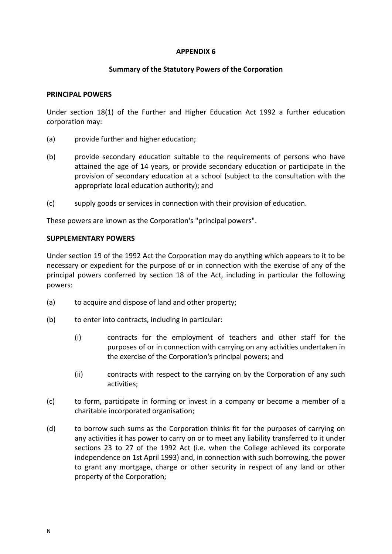#### **Summary of the Statutory Powers of the Corporation**

#### <span id="page-24-0"></span>**PRINCIPAL POWERS**

Under section 18(1) of the Further and Higher Education Act 1992 a further education corporation may:

- (a) provide further and higher education;
- (b) provide secondary education suitable to the requirements of persons who have attained the age of 14 years, or provide secondary education or participate in the provision of secondary education at a school (subject to the consultation with the appropriate local education authority); and
- (c) supply goods or services in connection with their provision of education.

These powers are known as the Corporation's "principal powers".

#### **SUPPLEMENTARY POWERS**

Under section 19 of the 1992 Act the Corporation may do anything which appears to it to be necessary or expedient for the purpose of or in connection with the exercise of any of the principal powers conferred by section 18 of the Act, including in particular the following powers:

- (a) to acquire and dispose of land and other property;
- (b) to enter into contracts, including in particular:
	- (i) contracts for the employment of teachers and other staff for the purposes of or in connection with carrying on any activities undertaken in the exercise of the Corporation's principal powers; and
	- (ii) contracts with respect to the carrying on by the Corporation of any such activities;
- (c) to form, participate in forming or invest in a company or become a member of a charitable incorporated organisation;
- (d) to borrow such sums as the Corporation thinks fit for the purposes of carrying on any activities it has power to carry on or to meet any liability transferred to it under sections 23 to 27 of the 1992 Act (i.e. when the College achieved its corporate independence on 1st April 1993) and, in connection with such borrowing, the power to grant any mortgage, charge or other security in respect of any land or other property of the Corporation;